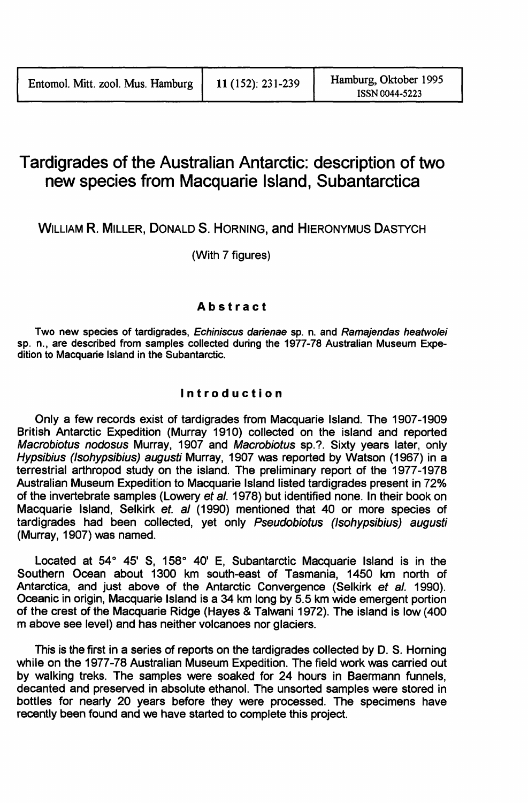# Tardigrades of the Australian Antarctic: description of two new species from Macquarie Island, Subantarctica

WILLlAM R. MILLER, DONALD S. HORNING, and HIERONYMUS DASTYCH

(With 7 figures)

# Abstract

Two new species of tardigrades, Echiniscus darienae sp. n. and Ramajendas heatwolei sp. n., are described from samples collected during the 1977-78 Australian Museum Expedition to Macquarie Island in the Subantarctic.

# Introduction

Only a few records exist of tardigrades from Macquarie Island. The 1907-1909 British Antarctic Expedition (Murray 1910) collected on the island and reported Macrobiotus nodosus Murray, 1907 and Macrobiotus sp.? Sixty years later, only Hypsibius (Isohypsibius) augusti Murray, 1907 was reported by Watson (1967) in a terrestrial arthropod study on the island. The preliminary report of the 1977-1978 Australian Museum Expedition to Macquarie Island listed tardigrades present in 72% of the invertebrate samples (Lowery et al. 1978) but identified none. In their book on Macquarie Island, Selkirk et. al (1990) mentioned that 40 or more species of tardigrades had been collected, yet only Pseudobiotus (Isohypsibius) augusti (Murray, 1907) was named.

Located at 54° 45' S, 158° 40' E, Subantarctic Macquarie Island is in the Southern Ocean about 1300 km south-east of Tasmania, 1450 km north of Antarctica, and just above of the Antarctic Convergence (Selkirk et al. 1990). Oceanic in origin, Macquarie Island is a 34 km long by 5.5 km wide emergent portion of the crest of the Macquarie Ridge (Hayes & Talwani 1972). The island is low (400 m above see level) and has neither volcanoes nor glaciers.

This is the first in a series of reports on the tardigrades collected by D. S. Horning while on the 1977-78 Australian Museum Expedition. The field work was carried out by walking treks. The samples were soaked for 24 hours in Baermann funnels, decanted and preserved in absolute ethanol. The unsorted samples were stored in bottles for nearly 20 years before they were processed. The specimens have recently been found and we have started to complete this project.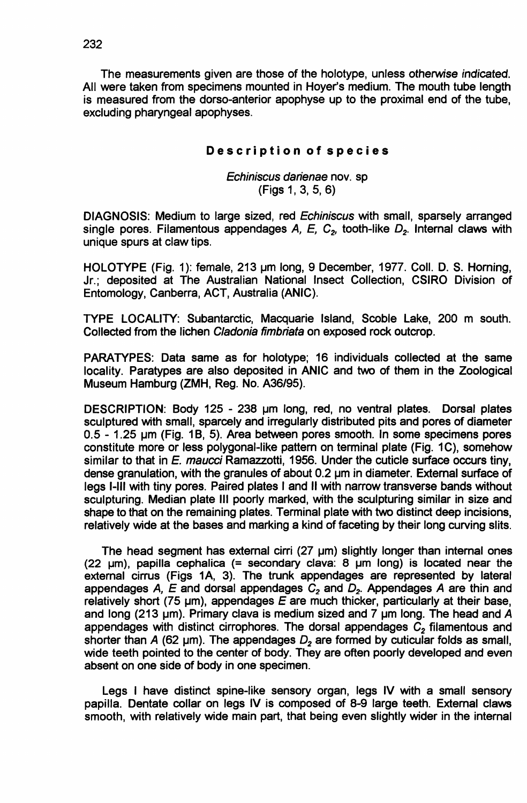The measurements given are those of the holotype, unless otherwise indicated. All were taken from specimens mounted in Hoyer's medium. The mouth tube length is measured from the dorso-anterior apophyse up to the proximal end of the tube, excluding pharyngeal apophyses.

#### Description of species

## Echiniscus darienae nov. sp (Figs 1, 3, 5, 6)

DIAGNOSIS: Medium to large sized, red Echiniscus with small, sparsely arranged single pores. Filamentous appendages A, E, C<sub>2</sub>, tooth-like D<sub>2</sub>. Internal claws with unique spurs at claw tips.

HOLOTYPE (Fig. 1): female, 213 um long, 9 December, 1977. Coll. D. S. Horning, Jr.; deposited at The Australian National Insect Collection, CSIRO Division of Entomology, Canberra, ACT, Australia (ANIC).

TYPE LOCALITY: Subantarctic, Macquarie Island, Scoble Lake, 200 m south. Collected from the lichen Cladonia fimbriata on exposed rock outcrop.

PARATYPES: Data same as for holotype; 16 individuals collected at the same locality. Paratypes are also deposited in ANIC and two of them in the Zoological Museum Hamburg (ZMH, Reg. No. A36/95).

DESCRIPTION: Body 125 - 238 um long, red, no ventral plates. Dorsal plates sculptured with small, sparcely and irregularly distributed pits and pores of diameter  $0.5$  - 1.25  $\mu$ m (Fig. 1B, 5). Area between pores smooth. In some specimens pores constitute more or less polygonal-like pattern on terminal plate (Fig. 1C), somehow similar to that in E. maucci Ramazzotti, 1956. Under the cuticle surface occurs tiny, dense granulation, with the granules of about  $0.2 \mu m$  in diameter. External surface of legs I-Ill with tiny pores. Paired plates I and <sup>11</sup> with narrow transverse bands without sculpturing. Median plate III poorly marked, with the sculpturing similar in size and shape to that on the remaining plates. Terminal plate with two distinct deep incisions, relatively wide at the bases and marking a kind of faeeting by their long curving slits.

The head segment has external cirri  $(27 \text{ }\mu\text{m})$  slightly longer than internal ones (22  $\mu$ m), papilla cephalica (= secondary clava: 8  $\mu$ m long) is located near the external cirrus (Figs 1A, 3). The trunk appendages are represented by lateral appendages  $A$ ,  $E$  and dorsal appendages  $C_2$  and  $D_2$ . Appendages  $A$  are thin and relatively short (75 µm), appendages *E* are much thicker, particularly at their base, and long (213 um). Primary clava is medium sized and 7 um long. The head and A appendages with distinct cirrophores. The dorsal appendages  $C<sub>2</sub>$  filamentous and shorter than  $A$  (62  $\mu$ m). The appendages  $D<sub>2</sub>$  are formed by cuticular folds as small, wide teeth pointed to the center of body. They are often poorly developed and even absent on one side of body in one specimen.

Legs I have distinct spine-like sensory organ, legs IV with a small sensory papilla. Dentate collar on legs IV is composed of 8-9 large teeth. External claws smooth, with relatively wide main part, that being even slightly wider in the internal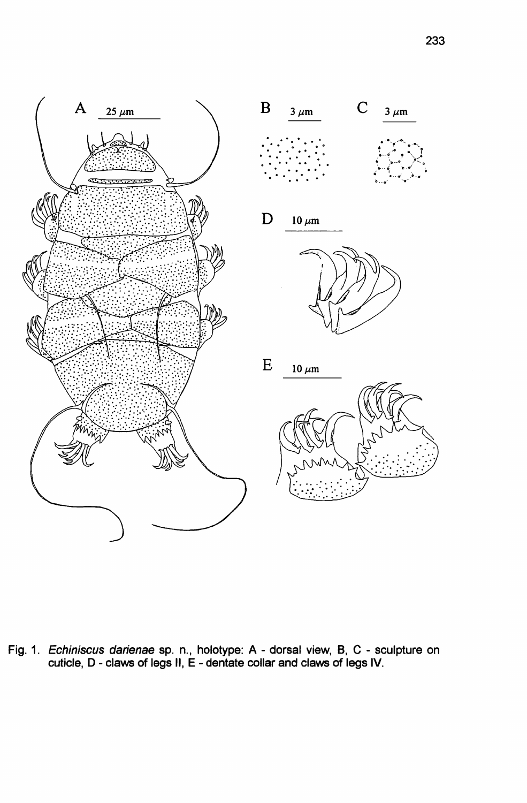



Fig. 1. Echiniscus darienae sp. n., holotype: A - dorsal view, B, C - sculpture on cuticle, D - claws of legs II, E - dentate collar and claws of legs IV.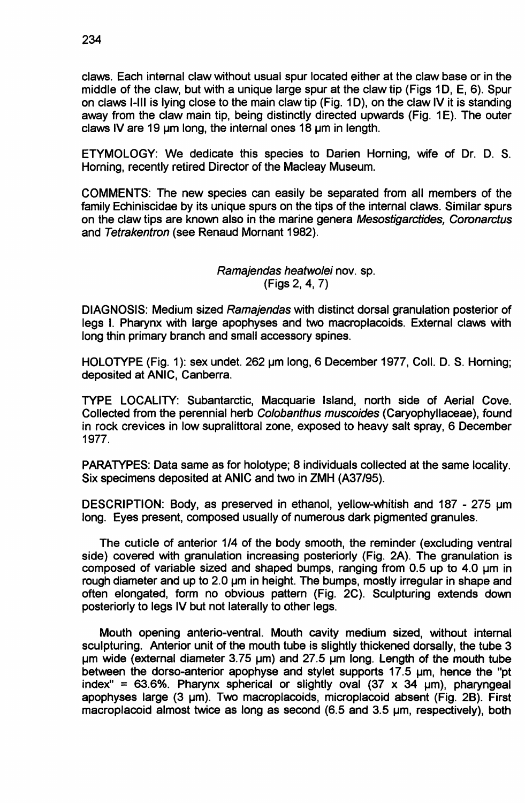claws. Each internal claw without usual spur located either at the claw base or in the middle of the claw, but with a unique large spur at the claw tip (Figs 10, E, 6). Spur on claws I-Ill is lying close to the main claw tip (Fig. 1D), on the claw IV it is standing away from the claw main tip, being distinctly directed upwards (Fig. 1E). The outer claws IV are 19 um long, the internal ones 18 um in length.

ETYMOLOGY: We dedicate this species to Darien Horning, wife of Dr. D. S. Horning, recently retired Director of the Macleay Museum.

COMMENTS: The new species can easily be separated from all members of the family Echiniscidae by its unique spurs on the tips of the internal claws. Similar spurs on the claw tips are known also in the marine genera Mesostigarctides, Coronarctus and Tetrakentron (see Renaud Mornant 1982).

> Ramajendas heatwolei nov. sp. (Figs 2, 4, 7)

DIAGNOSIS: Medium sized Ramajendas with distinct dorsal granulation posterior of legs I. Pharynx with large apophyses and two macroplacoids. External claws with long thin primary branch and small accessory spines.

HOLOTYPE (Fig. 1): sex undet. 262 um long, 6 December 1977, Coll. D. S. Horning; deposited at ANIC, Canberra.

TYPE LOCALITY: Subantarctic, Macquarie Island, north side of Aerial Cove. Collected from the perennial herb Colobanthus muscoides (Caryophyllaceae), found in rock crevices in low supralittoral zone, exposed to heavy salt spray, 6 December 1977.

PARATYPES: Data same as for holotype; 8 individuals collected at the same locality. Six specimens deposited at ANIC and two in ZMH (A37/95).

DESCRIPTION: Body, as preserved in ethanol, yellow-whitish and 187 - 275 um long. Eyes present, composed usually of numerous dark pigmented granules.

The cuticle of anterior 1/4 of the body smooth, the reminder (excluding ventral side) covered with granulation increasing posteriorly (Fig. 2A). The granulation is composed of variable sized and shaped bumps, ranging from 0.5 up to 4.0 um in rough diameter and up to 2.0 um in height. The bumps, mostly irregular in shape and often elongated, form no obvious pattern (Fig. 2C). Sculpturing extends down posteriorly to legs IV but not laterally to other legs.

Mouth opening anterio-ventral. Mouth cavity medium sized, without internal sculpturing. Anterior unit of the mouth tube is slightly thickened dorsally, the tube 3  $µm$  wide (external diameter 3.75  $µm$ ) and 27.5  $µm$  long. Length of the mouth tube between the dorso-anterior apophyse and stylet supports  $17.5 \mu m$ , hence the "pt index" = 63.6%. Pharynx spherical or slightly oval  $(37 \times 34 \mu m)$ , pharyngeal apophyses large (3 um). Two macroplacoids, microplacoid absent (Fig. 2B). First macroplacoid almost twice as long as second (6.5 and 3.5 um, respectively), both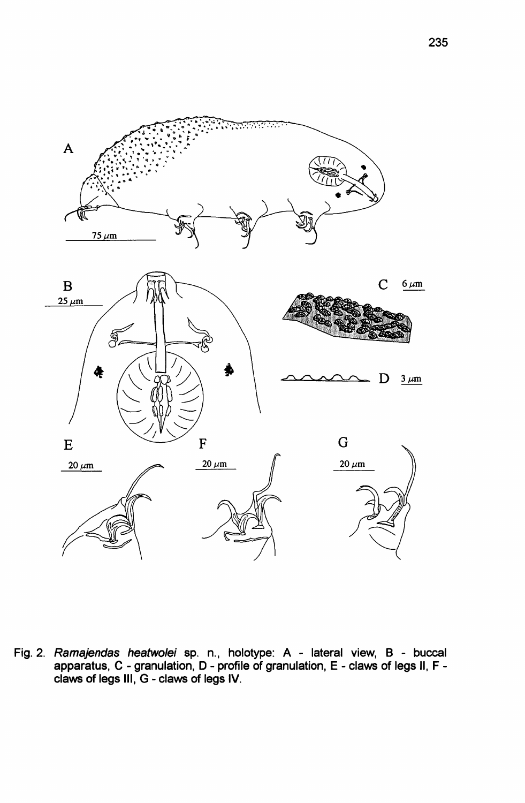

Fig. 2. Ramajendas heatwolei sp. n., holotype: A - lateral view, B - buccal apparatus, C - granulation, D - profile of granulation, E - claws of legs II, F claws of legs III, G - claws of legs IV.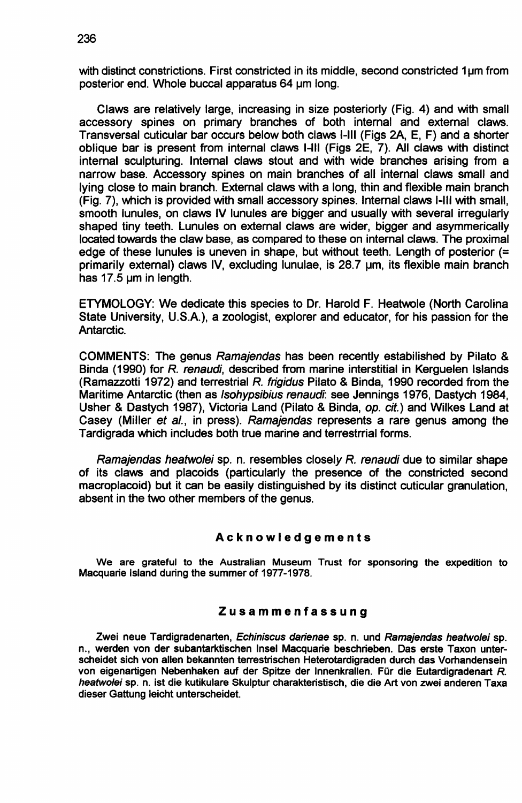with distinct constrictions. First constricted in its middle, second constricted 1um from posterior end. Whole buccal apparatus 64 um long.

Claws are relatively large, increasing in size posteriorly (Fig. 4) and with small accessory spines on primary branches of both internal and external claws. Transversal cuticular bar occurs below both claws I-Ill (Figs 2A, E, F) and a shorter oblique bar is present from internal claws I-Ill (Figs 2E, 7). All claws with distinct internal sculpturing. Internal claws stout and with wide branches arising from a narrow base. Accessory spines on main branches of all internal claws small and lying close to main branch. External claws with a long, thin and flexible main branch (Fig. 7), which is provided with small accessory spines. Internal claws I-Ill with small, smooth lunules, on claws IV lunules are bigger and usually with several irregularly shaped tiny teeth. Lunules on external claws are wider, bigger and asymmerically located towards the claw base, as compared to these on internal claws. The proximal edge of these lunules is uneven in shape, but without teeth. Length of posterior (= primarily external) claws IV, excluding lunulae, is 28.7 um, its flexible main branch has 17.5 um in length.

ETYMOLOGY: We dedicate this species to Dr. Harold F. Heatwole (North Carolina State University, U.S.A.), a zoologist, explorer and educator, for his passion for the Antarctic.

COMMENTS: The genus Ramajendas has been recently estabilished by Pilato & Binda (1990) for R. renaudi, described from marine interstitial in Kerguelen Islands (Ramazzotti 1972) and terrestrial R. frigidus Pilato & Binda, 1990 recorded from the Maritime Antarctic (then as Isohypsibius renaudi: see Jennings 1976, Dastych 1984, Usher & Dastych 1987), Victoria Land (Pilato & Binda, op. cit.) and Wilkes Land at Casey (Miller et al., in press). Ramajendas represents a rare genus among the Tardigrada which includes both true marine and terrestrrial forms.

Ramajendas heatwolei sp. n. resembles closely R. renaudi due to similar shape of its claws and placoids (particularly the presence of the constricted second macroplacoid) but it can be easily distinguished by its distinct cuticular granulation, absent in the two other members of the genus.

#### Acknowledgements

We are grateful to the Australian Museum Trust for sponsoring the expedition to Macquarie Island during the summer of 1977-1978.

### Zusammenfassung

Zwei neue Tardigradenarten, Echiniscus darienae sp. n. und Ramajendas heatwolei sp. n., werden von der subantarktischen Insel Macquarie beschrieben. Das erste Taxon unterscheidet sich von alien bekannten terrestrischen Heterotardigraden durch das Vorhandensein von eigenartigen Nebenhaken auf der Spitze der Innenkrallen. Fur die Eutardigradenart *R.* heatwolei sp. n. ist die kutikulare Skulptur charakteristisch, die die Art von zwei anderen Taxa dieser Gattung leicht unterscheidet.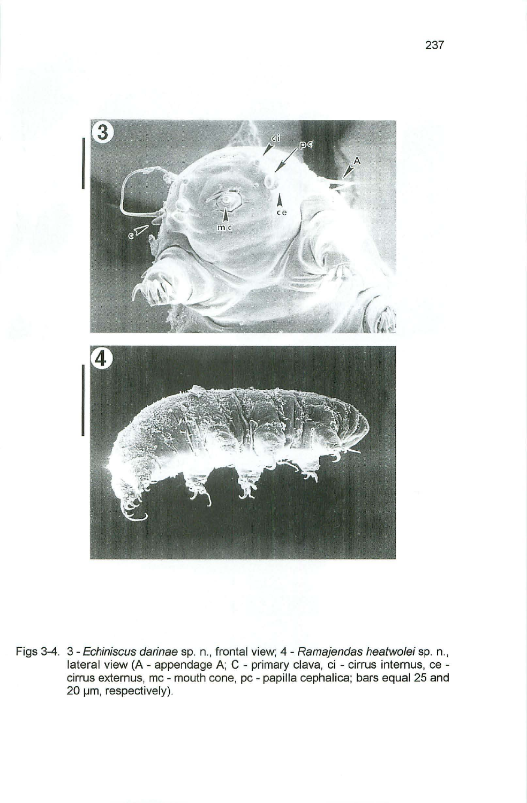

Figs 3-4. 3 - Echiniscus darinae sp. n., frontal view; 4 - Ramajendas heatwolei sp. n., lateral view (A - appendage A; C - primary clava, ci - cirrus internus, ce cirrus externus, mc - mouth cone, pc - papilla cephalica; bars equal 25 and 20 um, respectively).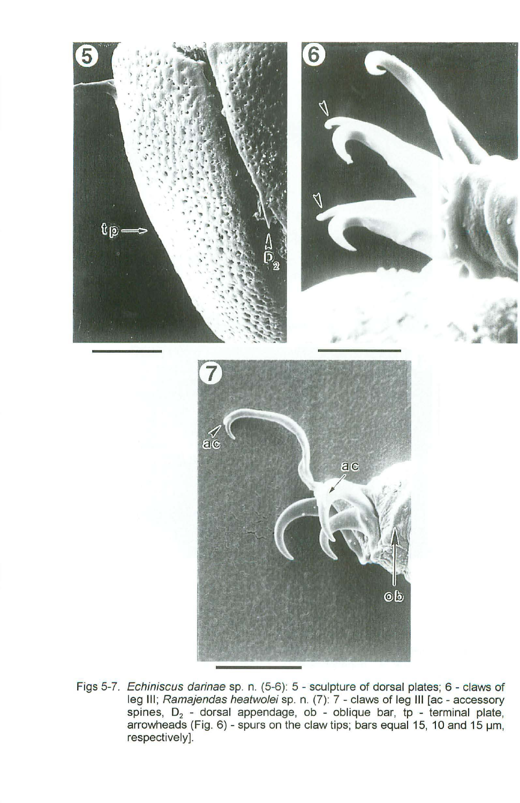

Figs 5-7. Echiniscus darinae sp. n. (5-6): 5 - sculpture of dorsal plates; 6 - claws of leg III; Ramajendas heatwolei sp. n. (7): 7 - claws of leg III [ac - accessory spines, D<sub>2</sub> - dorsal appendage, ob - oblique bar, tp - terminal plate<br>arrowheads (Fig. 6) - spurs on the claw tips; bars equal 15, 10 and 15 µm respectively].